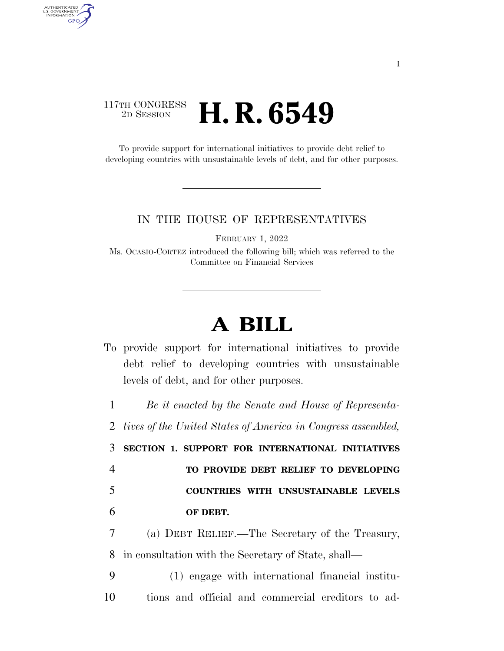## 117TH CONGRESS <sup>2D SESSION</sup> **H. R. 6549**

AUTHENTICATED<br>U.S. GOVERNMENT<br>INFORMATION **GPO** 

> To provide support for international initiatives to provide debt relief to developing countries with unsustainable levels of debt, and for other purposes.

## IN THE HOUSE OF REPRESENTATIVES

FEBRUARY 1, 2022

Ms. OCASIO-CORTEZ introduced the following bill; which was referred to the Committee on Financial Services

## **A BILL**

To provide support for international initiatives to provide debt relief to developing countries with unsustainable levels of debt, and for other purposes.

 *Be it enacted by the Senate and House of Representa- tives of the United States of America in Congress assembled,*  **SECTION 1. SUPPORT FOR INTERNATIONAL INITIATIVES TO PROVIDE DEBT RELIEF TO DEVELOPING COUNTRIES WITH UNSUSTAINABLE LEVELS OF DEBT.**  (a) DEBT RELIEF.—The Secretary of the Treasury, in consultation with the Secretary of State, shall— (1) engage with international financial institu-

10 tions and official and commercial creditors to ad-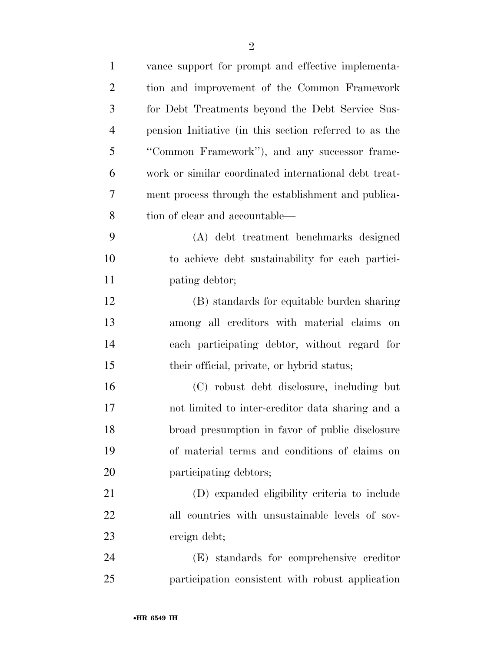| $\mathbf{1}$   | vance support for prompt and effective implementa-     |
|----------------|--------------------------------------------------------|
| $\overline{2}$ | tion and improvement of the Common Framework           |
| 3              | for Debt Treatments beyond the Debt Service Sus-       |
| $\overline{4}$ | pension Initiative (in this section referred to as the |
| 5              | "Common Framework"), and any successor frame-          |
| 6              | work or similar coordinated international debt treat-  |
| 7              | ment process through the establishment and publica-    |
| 8              | tion of clear and accountable—                         |
| 9              | (A) debt treatment benchmarks designed                 |
| 10             | to achieve debt sustainability for each partici-       |
| 11             | pating debtor;                                         |
| 12             | (B) standards for equitable burden sharing             |
| 13             | among all creditors with material claims on            |
| 14             | each participating debtor, without regard for          |
| 15             | their official, private, or hybrid status;             |
| 16             | (C) robust debt disclosure, including but              |
| 17             | not limited to inter-creditor data sharing and a       |
| 18             | broad presumption in favor of public disclosure        |
| 19             | of material terms and conditions of claims on          |
| 20             | participating debtors;                                 |
| 21             | (D) expanded eligibility criteria to include           |
| 22             | all countries with unsustainable levels of sov-        |
| 23             | ereign debt;                                           |
| 24             | (E) standards for comprehensive creditor               |
| 25             | participation consistent with robust application       |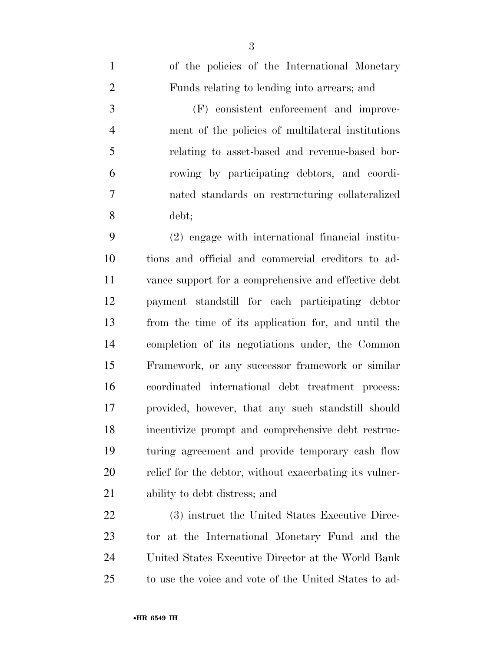| $\overline{4}$ | ment of the policies of multilateral institutions       |
|----------------|---------------------------------------------------------|
| $\mathfrak{S}$ | relating to asset-based and revenue-based bor-          |
| 6              | rowing by participating debtors, and coordi-            |
| $\tau$         | nated standards on restructuring collateralized         |
| 8              | debt;                                                   |
| 9              | (2) engage with international financial institu-        |
| 10             | tions and official and commercial creditors to ad-      |
| 11             | vance support for a comprehensive and effective debt    |
| 12             | payment standstill for each participating debtor        |
| 13             | from the time of its application for, and until the     |
| 14             | completion of its negotiations under, the Common        |
| 15             | Framework, or any successor framework or similar        |
| 16             | coordinated international debt treatment process:       |
| 17             | provided, however, that any such stands till should     |
| 18             | incentivize prompt and comprehensive debt restruc-      |
| 19             | turing agreement and provide temporary cash flow        |
| 20             | relief for the debtor, without exacerbating its vulner- |
| 21             | ability to debt distress; and                           |
| 22             | (3) instruct the United States Executive Direc-         |
| 23             | tor at the International Monetary Fund and the          |
| 24             | United States Executive Director at the World Bank      |
| 25             | to use the voice and vote of the United States to ad-   |
|                |                                                         |

of the policies of the International Monetary

(F) consistent enforcement and improve-

Funds relating to lending into arrears; and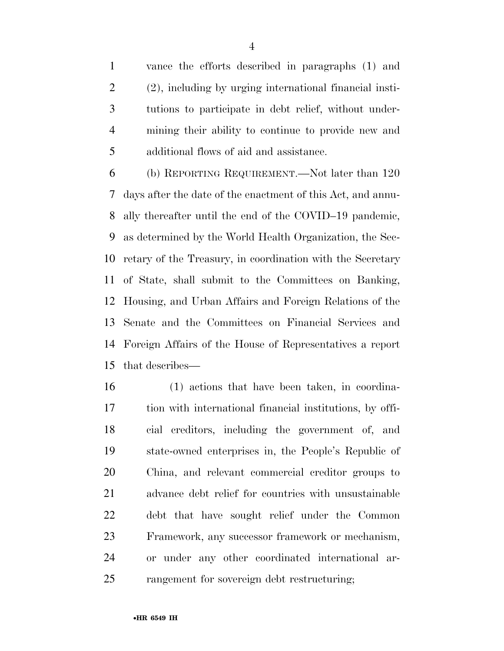vance the efforts described in paragraphs (1) and (2), including by urging international financial insti- tutions to participate in debt relief, without under- mining their ability to continue to provide new and additional flows of aid and assistance.

 (b) REPORTING REQUIREMENT.—Not later than 120 days after the date of the enactment of this Act, and annu- ally thereafter until the end of the COVID–19 pandemic, as determined by the World Health Organization, the Sec- retary of the Treasury, in coordination with the Secretary of State, shall submit to the Committees on Banking, Housing, and Urban Affairs and Foreign Relations of the Senate and the Committees on Financial Services and Foreign Affairs of the House of Representatives a report that describes—

 (1) actions that have been taken, in coordina- tion with international financial institutions, by offi- cial creditors, including the government of, and state-owned enterprises in, the People's Republic of China, and relevant commercial creditor groups to advance debt relief for countries with unsustainable debt that have sought relief under the Common Framework, any successor framework or mechanism, or under any other coordinated international ar-rangement for sovereign debt restructuring;